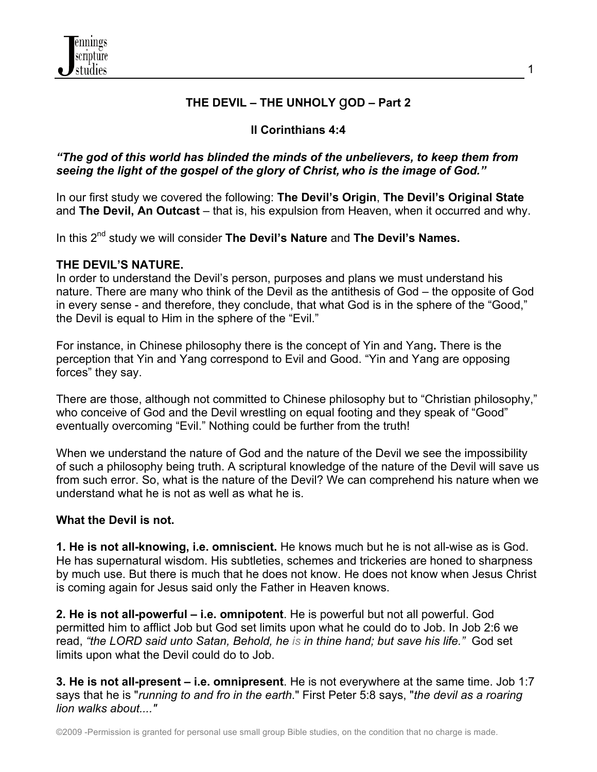

# **THE DEVIL – THE UNHOLY** g**OD – Part 2**

# **II Corinthians 4:4**

## *"The god of this world has blinded the minds of the unbelievers, to keep them from seeing the light of the gospel of the glory of Christ, who is the image of God."*

In our first study we covered the following: **The Devil's Origin**, **The Devil's Original State** and **The Devil, An Outcast** – that is, his expulsion from Heaven, when it occurred and why.

In this 2nd study we will consider **The Devil's Nature** and **The Devil's Names.**

### **THE DEVIL'S NATURE.**

In order to understand the Devil's person, purposes and plans we must understand his nature. There are many who think of the Devil as the antithesis of God – the opposite of God in every sense - and therefore, they conclude, that what God is in the sphere of the "Good," the Devil is equal to Him in the sphere of the "Evil."

For instance, in Chinese philosophy there is the concept of Yin and Yang**.** There is the perception that Yin and Yang correspond to Evil and Good. "Yin and Yang are opposing forces" they say.

There are those, although not committed to Chinese philosophy but to "Christian philosophy," who conceive of God and the Devil wrestling on equal footing and they speak of "Good" eventually overcoming "Evil." Nothing could be further from the truth!

When we understand the nature of God and the nature of the Devil we see the impossibility of such a philosophy being truth. A scriptural knowledge of the nature of the Devil will save us from such error. So, what is the nature of the Devil? We can comprehend his nature when we understand what he is not as well as what he is.

#### **What the Devil is not.**

**1. He is not all-knowing, i.e. omniscient.** He knows much but he is not all-wise as is God. He has supernatural wisdom. His subtleties, schemes and trickeries are honed to sharpness by much use. But there is much that he does not know. He does not know when Jesus Christ is coming again for Jesus said only the Father in Heaven knows.

**2. He is not all-powerful – i.e. omnipotent**. He is powerful but not all powerful. God permitted him to afflict Job but God set limits upon what he could do to Job. In Job 2:6 we read, *"the LORD said unto Satan, Behold, he is in thine hand; but save his life."* God set limits upon what the Devil could do to Job.

**3. He is not all-present – i.e. omnipresent**. He is not everywhere at the same time. Job 1:7 says that he is "*running to and fro in the earth*." First Peter 5:8 says, "*the devil as a roaring lion walks about...."*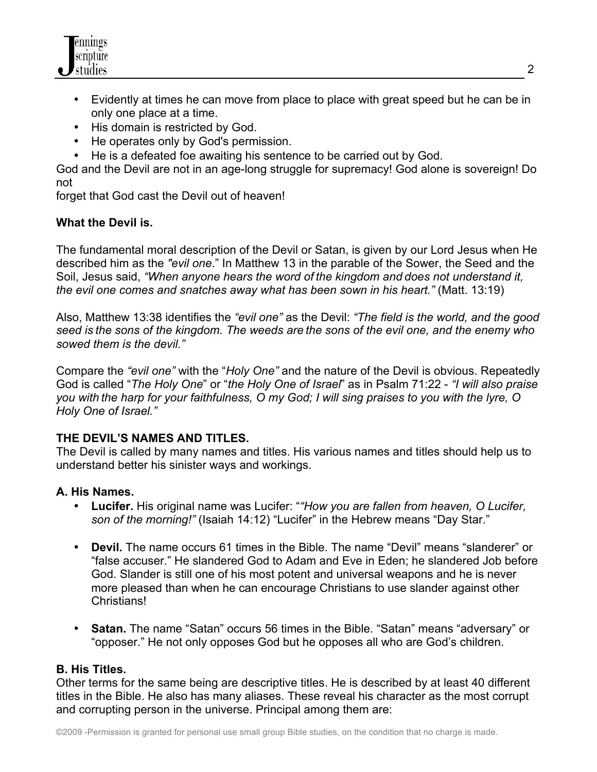

- Evidently at times he can move from place to place with great speed but he can be in only one place at a time.
- His domain is restricted by God.
- He operates only by God's permission.
- He is a defeated foe awaiting his sentence to be carried out by God.

God and the Devil are not in an age-long struggle for supremacy! God alone is sovereign! Do not

forget that God cast the Devil out of heaven!

#### **What the Devil is.**

The fundamental moral description of the Devil or Satan, is given by our Lord Jesus when He described him as the *"evil one*." In Matthew 13 in the parable of the Sower, the Seed and the Soil, Jesus said, *"When anyone hears the word of the kingdom and does not understand it, the evil one comes and snatches away what has been sown in his heart."* (Matt. 13:19)

Also, Matthew 13:38 identifies the *"evil one"* as the Devil: *"The field is the world, and the good seed is the sons of the kingdom. The weeds are the sons of the evil one, and the enemy who sowed them is the devil."*

Compare the *"evil one"* with the "*Holy One"* and the nature of the Devil is obvious. Repeatedly God is called "*The Holy One*" or "*the Holy One of Israel*" as in Psalm 71:22 - *"I will also praise you with the harp for your faithfulness, O my God; I will sing praises to you with the lyre, O Holy One of Israel."*

#### **THE DEVIL'S NAMES AND TITLES.**

The Devil is called by many names and titles. His various names and titles should help us to understand better his sinister ways and workings.

#### **A. His Names.**

- **Lucifer.** His original name was Lucifer: "*"How you are fallen from heaven, O Lucifer, son of the morning!"* (Isaiah 14:12) "Lucifer" in the Hebrew means "Day Star."
- **Devil.** The name occurs 61 times in the Bible. The name "Devil" means "slanderer" or "false accuser." He slandered God to Adam and Eve in Eden; he slandered Job before God. Slander is still one of his most potent and universal weapons and he is never more pleased than when he can encourage Christians to use slander against other Christians!
- **Satan.** The name "Satan" occurs 56 times in the Bible. "Satan" means "adversary" or "opposer." He not only opposes God but he opposes all who are God's children.

#### **B. His Titles.**

Other terms for the same being are descriptive titles. He is described by at least 40 different titles in the Bible. He also has many aliases. These reveal his character as the most corrupt and corrupting person in the universe. Principal among them are: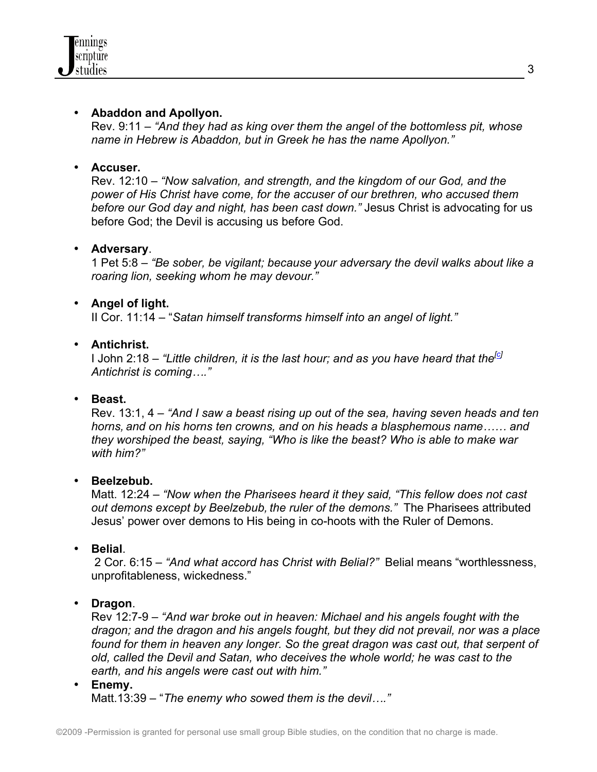

### • **Abaddon and Apollyon.**

Rev. 9:11 – *"And they had as king over them the angel of the bottomless pit, whose name in Hebrew is Abaddon, but in Greek he has the name Apollyon."*

### • **Accuser.**

Rev. 12:10 – *"Now salvation, and strength, and the kingdom of our God, and the power of His Christ have come, for the accuser of our brethren, who accused them before our God day and night, has been cast down."* Jesus Christ is advocating for us before God; the Devil is accusing us before God.

### • **Adversary**.

1 Pet 5:8 – *"Be sober, be vigilant; because your adversary the devil walks about like a roaring lion, seeking whom he may devour."*

### • **Angel of light.**

II Cor. 11:14 – "*Satan himself transforms himself into an angel of light."*

### • **Antichrist.**

I John 2:18 – "Little children, it is the last hour; and as you have heard that the<sup>[c]</sup> *Antichrist is coming…."*

## • **Beast.**

Rev. 13:1, 4 – *"And I saw a beast rising up out of the sea, having seven heads and ten horns, and on his horns ten crowns, and on his heads a blasphemous name…… and they worshiped the beast, saying, "Who is like the beast? Who is able to make war with him?"*

#### • **Beelzebub.**

Matt. 12:24 – *"Now when the Pharisees heard it they said, "This fellow does not cast out demons except by Beelzebub, the ruler of the demons."* The Pharisees attributed Jesus' power over demons to His being in co-hoots with the Ruler of Demons.

#### • **Belial**.

2 Cor. 6:15 – *"And what accord has Christ with Belial?"* Belial means "worthlessness, unprofitableness, wickedness."

#### • **Dragon**.

Rev 12:7-9 – *"And war broke out in heaven: Michael and his angels fought with the dragon; and the dragon and his angels fought, but they did not prevail, nor was a place*  found for them in heaven any longer. So the great dragon was cast out, that serpent of *old, called the Devil and Satan, who deceives the whole world; he was cast to the earth, and his angels were cast out with him."* 

• **Enemy.**

Matt.13:39 – "*The enemy who sowed them is the devil…."*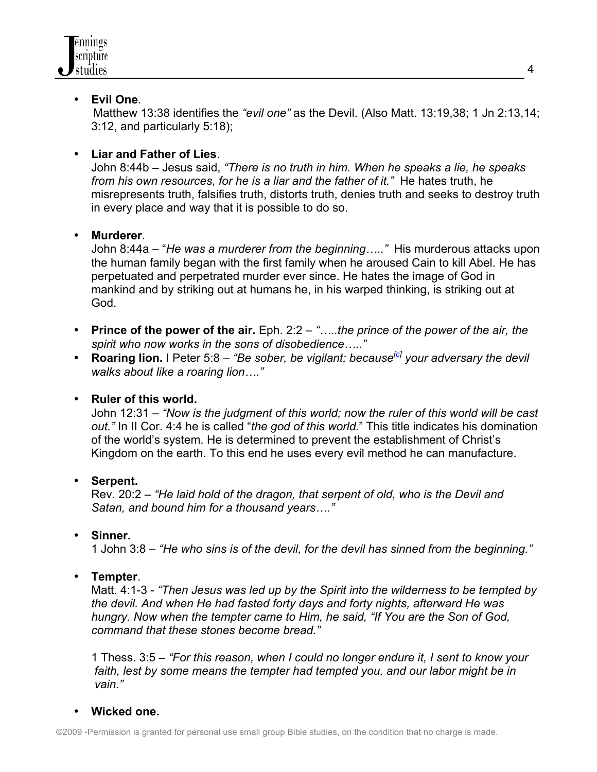### • **Evil One**.

Matthew 13:38 identifies the *"evil one"* as the Devil. (Also Matt. 13:19,38; 1 Jn 2:13,14; 3:12, and particularly 5:18);

# • **Liar and Father of Lies**.

John 8:44b – Jesus said, *"There is no truth in him. When he speaks a lie, he speaks from his own resources, for he is a liar and the father of it."* He hates truth, he misrepresents truth, falsifies truth, distorts truth, denies truth and seeks to destroy truth in every place and way that it is possible to do so.

## • **Murderer**.

John 8:44a – "*He was a murderer from the beginning….."* His murderous attacks upon the human family began with the first family when he aroused Cain to kill Abel. He has perpetuated and perpetrated murder ever since. He hates the image of God in mankind and by striking out at humans he, in his warped thinking, is striking out at God.

- **Prince of the power of the air.** Eph. 2:2 *"…..the prince of the power of the air, the spirit who now works in the sons of disobedience….."*
- **Roaring lion.** I Peter 5:8 *"Be sober, be vigilant; because<sup>[c]</sup> your adversary the devil walks about like a roaring lion…."*

## • **Ruler of this world.**

John 12:31 – *"Now is the judgment of this world; now the ruler of this world will be cast out."* In II Cor. 4:4 he is called "*the god of this world.*" This title indicates his domination of the world's system. He is determined to prevent the establishment of Christ's Kingdom on the earth. To this end he uses every evil method he can manufacture.

## • **Serpent.**

Rev. 20:2 – *"He laid hold of the dragon, that serpent of old, who is the Devil and Satan, and bound him for a thousand years…."*

## • **Sinner.**

1 John 3:8 – *"He who sins is of the devil, for the devil has sinned from the beginning."*

## • **Tempter**.

Matt. 4:1-3 - *"Then Jesus was led up by the Spirit into the wilderness to be tempted by the devil. And when He had fasted forty days and forty nights, afterward He was hungry. Now when the tempter came to Him, he said, "If You are the Son of God, command that these stones become bread."*

1 Thess. 3:5 – *"For this reason, when I could no longer endure it, I sent to know your faith, lest by some means the tempter had tempted you, and our labor might be in vain."*

## • **Wicked one.**